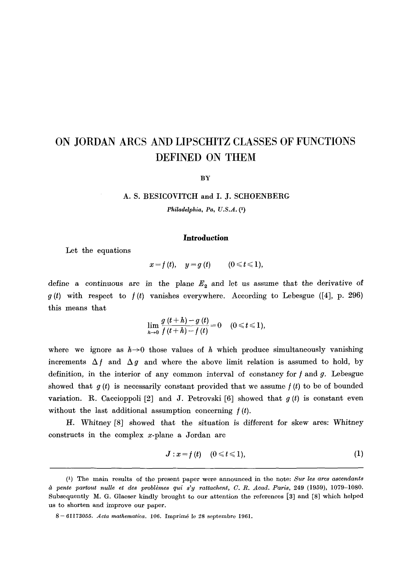# **ON JORDAN ARCS AND LIPSCHITZ CLASSES OF FUNCTIONS DEFINED ON THEM**

**BY** 

#### A. S. BESICOVITCH and I. J. SCHOENBERG

*Philadelphia, Pa, U.S.A. (1)* 

## **Introduction**

Let the equations

 $x = f(t), \quad y = g(t) \quad (0 \leq t \leq 1),$ 

define a continuous are in the plane  $E_2$  and let us assume that the derivative of g (t) with respect to  $f(t)$  vanishes everywhere. According to Lebesgue ([4], p. 296) this means that

$$
\lim_{h\to 0}\frac{g(t+h)-g(t)}{f(t+h)-f(t)}=0 \quad (0\leq t\leq 1),
$$

where we ignore as  $h\rightarrow 0$  those values of h which produce simultaneously vanishing increments  $\Delta f$  and  $\Delta g$  and where the above limit relation is assumed to hold, by definition, in the interior of any common interval of constancy for  $f$  and  $g$ . Lebesgue showed that  $g(t)$  is necessarily constant provided that we assume  $f(t)$  to be of bounded variation. R. Caccioppoli [2] and J. Petrovski [6] showed that  $g(t)$  is constant even without the last additional assumption concerning  $f(t)$ .

H. Whitney [8] showed that the situation is different for skew arcs: Whitney constructs in the complex x-plane a Jordan arc

$$
J: x = f(t) \quad (0 \leq t \leq 1), \tag{1}
$$

<sup>(1)</sup> The main results of the present paper were announced in the note: *Sur les arcs ascendants à pente partout nulle et des problèmes qui s'y rattachent, C. R. Acad. Paris, 249 (1959), 1079-1080.* Subsequently M. G. Glaeser kindly brought to our attention the references [3] and [8] which helped us to shorten and improve our paper.

<sup>8 - 61173055.</sup> *Acta mathematica*. 106. Imprimé le 28 septembre 1961.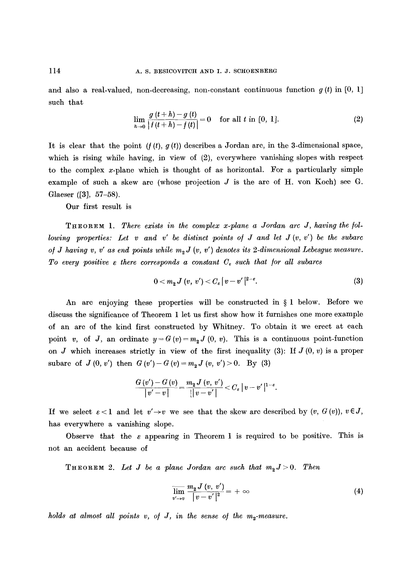and also a real-valued, non-decreasing, non-constant continuous function  $g(t)$  in [0, 1] such that

$$
\lim_{h \to 0} \frac{g(t+h) - g(t)}{|t(t+h) - t(t)|} = 0 \quad \text{for all } t \text{ in } [0, 1]. \tag{2}
$$

It is clear that the point  $(f(t), g(t))$  describes a Jordan arc, in the 3-dimensional space, which is rising while having, in view of  $(2)$ , everywhere vanishing slopes with respect to the complex  $x$ -plane which is thought of as horizontal. For a particularly simple example of such a skew arc (whose projection  $J$  is the arc of  $H$ . von Koch) see  $G$ . Glaeser ([3], 57-58).

Our first result is

THEOREM 1. There exists in the complex x-plane a Jordan arc J, having the fol*lowing properties: Let v and v' be distinct points of J and let J (v, v') be the subarc of J having v, v' as end points while*  $m<sub>2</sub> J$  *(v, v') denotes its 2-dimensional Lebesgue measure.* To every positive  $\varepsilon$  there corresponds a constant  $C_{\varepsilon}$  such that for all subarcs

$$
0 < m_2 J\left(v, v'\right) < C_\varepsilon \left| v - v'\right|^{2-\varepsilon}.\tag{3}
$$

An arc enjoying these properties will be constructed in  $\S 1$  below. Before we discuss the significance of Theorem 1 let us first show how it furnishes one more example of an arc of the kind first constructed by Whitney. To obtain it we erect at each point v, of J, an ordinate  $y = G(v) = m<sub>2</sub> J(0, v)$ . This is a continuous point-function on  $J$  which increases strictly in view of the first inequality (3): If  $J(0, v)$  is a proper subarc of *J(0,v')* then  $G(v') - G(v) = m<sub>2</sub> J(v, v') > 0$ . By (3)

$$
\frac{G(v') - G(v)}{|v'-v|} = \frac{m_2 J(v, v')}{|v-v'|} < C_{\varepsilon} |v-v'|^{1-\varepsilon}.
$$

If we select  $\varepsilon < 1$  and let  $v' \rightarrow v$  we see that the skew arc described by  $(v, G(v)), v \in J$ , has everywhere a vanishing slope.

Observe that the  $\varepsilon$  appearing in Theorem 1 is required to be positive. This is not an accident because of

**THEOREM** 2. Let *J* be a plane Jordan arc such that  $m_2$  J > 0. Then

$$
\overline{\lim_{v'\to v}}\frac{m_{2}J\left(v,\,v'\right)}{\left|v-v'\right|^{2}}=+\infty\tag{4}
$$

*holds at almost all points v, of J, in the sense of the*  $m_2$ *-measure.*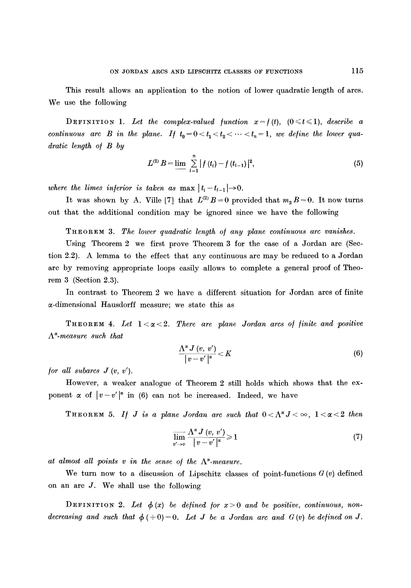This result allows an application to the notion of lower quadratic length of arcs. We use the following

DEFINITION 1. Let the complex-valued function  $x=f(t)$ ,  $(0 \le t \le 1)$ , *describe a continuous arc B in the plane. If*  $t_0 = 0 < t_1 < t_2 < \cdots < t_n = 1$ , we define the lower qua*dratic length o/ B by* 

$$
L^{(2)} B = \lim_{i=1} \sum_{i=1}^{n} |f(t_i) - f(t_{i-1})|^2,
$$
\n(5)

*where the limes inferior is taken as*  $\max |t_i-t_{i-1}| \rightarrow 0$ .

It was shown by A. Ville [7] that  $L^{(2)}B = 0$  provided that  $m_2 B = 0$ . It now turns out that the additional condition may be ignored since we have the following

THEOREM 3. *The lower quadratic length o/ any plane continuous arc vanishes.* 

Using Theorem 2 we first prove Theorem 3 for the case of a Jordan arc (Section 2.2). A lemma to the effect that any continuous arc may be reduced to a Jordan arc by removing appropriate loops easily allows to complete a general proof of Theorem 3 (Section 2.3).

In contrast to Theorem 2 we have a different situation for Jordan arcs of finite ~-dimensional Hausdorff measure; we state this as

 ${\tt Theorem\ 4.}$  Let  $1<\alpha < 2$ . There are plane Jordan arcs of finite and positive *A~-measure such that* 

$$
\frac{\Lambda^{\alpha} J\left(v,\,v'\right)}{\left|v-v'\right|^{\alpha}}
$$

*for all subarcs*  $J(v, v')$ *.* 

However, a weaker analogue of Theorem 2 still holds which shows that the exponent  $\alpha$  of  $|v-v'|^{\alpha}$  in (6) can not be increased. Indeed, we have

THEOREM 5. If J is a plane Jordan arc such that  $0 < \Lambda^{\alpha} J < \infty$ ,  $1 < \alpha < 2$  then

$$
\overline{\lim}_{v' \to v} \frac{\Lambda^{\alpha} J(v, v')}{|v - v'|^{\alpha}} \ge 1
$$
\n<sup>(7)</sup>

at almost all points  $v$  in the sense of the  $\Lambda^{\alpha}$ -measure.

We turn now to a discussion of Lipschitz classes of point-functions  $G(v)$  defined on an arc J. We shall use the following

DEFINITION 2. Let  $\phi(x)$  be defined for  $x > 0$  and be positive, continuous, non*decreasing and such that*  $\phi$  (+0)=0. Let *J* be a Jordan arc and  $G$  (v) be defined on *J*.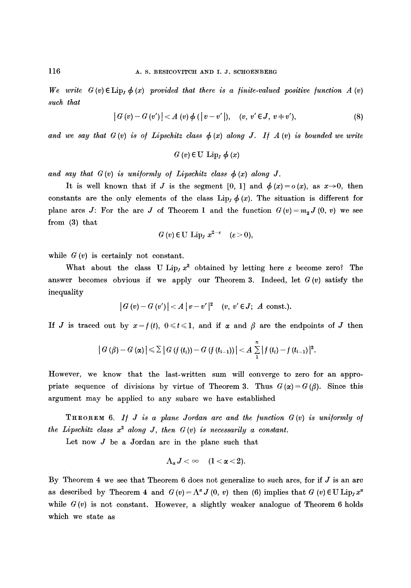$We write G(v) \in \text{Lip}$ ,  $\phi(x)$  *provided that there is a finite-valued positive function*  $A(v)$ *such that* 

$$
|G(v) - G(v')| < A(v) \phi(|v - v'|), \quad (v, v' \in J, v \neq v'), \tag{8}
$$

and we say that  $G(v)$  is of Lipschitz class  $\phi(x)$  along J. If  $A(v)$  is bounded we write

$$
G\left(v\right)\in\mathrm{U}\ \mathrm{Lip}_{J}\ \phi\left(x\right)
$$

and say that  $G(v)$  is uniformly of Lipschitz class  $\phi(x)$  along J.

It is well known that if J is the segment [0, 1] and  $\phi(x)=o(x)$ , as  $x\rightarrow 0$ , then constants are the only elements of the class Lip<sub>j</sub>  $\phi(x)$ . The situation is different for plane arcs J: For the arc J of Theorem 1 and the function  $G(v) = m<sub>2</sub> J(0, v)$  we see from (3) that

$$
G(v) \in U \text{ Lip}_I x^{2-\varepsilon} \quad (\varepsilon > 0),
$$

while  $G(v)$  is certainly not constant.

What about the class U Lip<sub>j</sub>  $x^2$  obtained by letting here  $\varepsilon$  become zero? The answer becomes obvious if we apply our Theorem 3. Indeed, let *G (v) satisfy* the inequality

$$
|G(v)-G(v')|
$$

If J is traced out by  $x=f(t)$ ,  $0 \le t \le 1$ , and if  $\alpha$  and  $\beta$  are the endpoints of J then

$$
|G(\beta)-G(\alpha)| \leq \sum |G(f(t_i))-G(f(t_{i-1}))| < A \sum_{1}^{n} |f(t_i)-f(t_{i-1})|^2.
$$

However, we know that the last-written sum will converge to zero for an appropriate sequence of divisions by virtue of Theorem 3. Thus  $G(\alpha) = G(\beta)$ . Since this argument may be applied to any subarc we have established

**THEOREM** 6. If *J* is a plane Jordan arc and the function  $G(v)$  is uniformly of *the Lipschitz class*  $x^2$  *along J, then*  $G(v)$  *is necessarily a constant.* 

Let now  $J$  be a Jordan arc in the plane such that

$$
\Lambda_{\alpha}J<\infty \quad \ \ (1<\alpha<2).
$$

By Theorem 4 we see that Theorem 6 does not generalize to such arcs, for if  $J$  is an arc as described by Theorem 4 and  $G(v) = \Lambda^{\alpha} J(0, v)$  then (6) implies that  $G(v) \in U$  Lip<sub>j</sub> $x^{\alpha}$ while  $G(v)$  is not constant. However, a slightly weaker analogue of Theorem 6 holds which we state as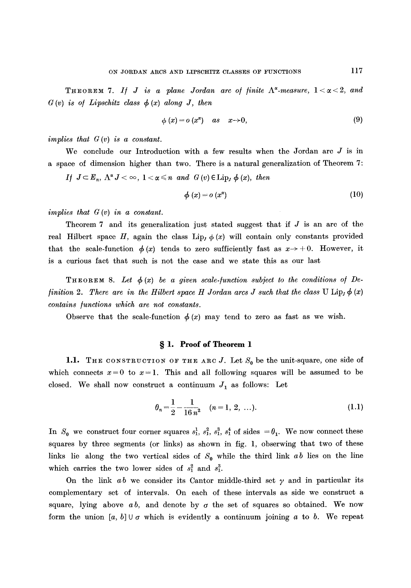**THEOREM 7.** If J is a plane Jordan arc of finite  $\Lambda^{\alpha}$ -measure,  $1 < \alpha < 2$ , and  $G(v)$  is of Lipschitz class  $\phi(x)$  along J, then

$$
\phi(x) = o(x^x) \quad as \quad x \to 0,
$$
\n(9)

*implies that G (v) is a constant.* 

We conclude our Introduction with a few results when the Jordan arc  $J$  is in a space of dimension higher than two. There is a natural generalization of Theorem 7:

*If*  $J \subset E_n$ ,  $\Lambda^{\alpha} J < \infty$ ,  $1 < \alpha \leq n$  and  $G(v) \in Lip_J \phi(x)$ , then

$$
\phi(x) = o(x^x) \tag{10}
$$

*implies that G (v) in a constant.* 

Theorem 7 and its generalization just stated suggest that if  $J$  is an arc of the real Hilbert space H, again the class Lip<sub>1</sub>  $\phi(x)$  will contain only constants provided that the scale-function  $\phi(x)$  tends to zero sufficiently fast as  $x \rightarrow +0$ . However, it is a curious fact that such is not the case and we state this as our last

**THEOREM 8.** Let  $\phi(x)$  be a given scale-function subject to the conditions of De*finition 2. There are in the Hilbert space H Jordan arcs J such that the class* U Lip<sub>j</sub>  $\phi(x)$ *contains /unctions which are not constants.* 

Observe that the scale-function  $\phi(x)$  may tend to zero as fast as we wish.

## **w 1. Proof of Theorem l**

1.1. THE CONSTRUCTION OF THE ARC J. Let  $S_0$  be the unit-square, one side of which connects  $x = 0$  to  $x = 1$ . This and all following squares will be assumed to be closed. We shall now construct a continuum  $J_1$  as follows: Let

$$
\theta_n = \frac{1}{2} - \frac{1}{16 n^2} \quad (n = 1, 2, \ldots). \tag{1.1}
$$

In  $S_0$  we construct four corner squares  $s_1^1$ ,  $s_1^2$ ,  $s_1^3$ ,  $s_1^4$  of sides  $=\theta_1$ . We now connect these squares by three segments (or links) as shown in fig. 1, obserwing that two of these links lie along the two vertical sides of  $S_0$  while the third link  $ab$  lies on the line which carries the two lower sides of  $s_1^2$  and  $s_1^3$ .

On the link  $ab$  we consider its Cantor middle-third set  $\gamma$  and in particular its complementary set of intervals. On each of these intervals as side we construct a square, lying above  $ab$ , and denote by  $\sigma$  the set of squares so obtained. We now form the union [a, b]  $\cup \sigma$  which is evidently a continuum joining a to b. We repeat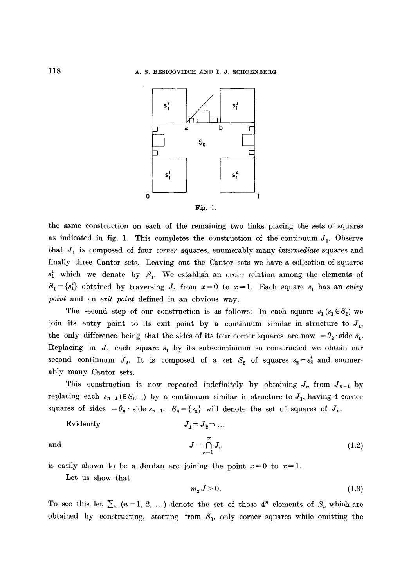



the same construction on each of the remaining two links placing the sets of squares as indicated in fig. 1. This completes the construction of the continuum  $J_1$ . Observe that J1 is composed of four *corner* squares, enumerably many *intermediate* squares and finally three Cantor sets. Leaving out the Cantor sets we have a collection of squares  $s_1^i$  which we denote by  $S_1$ . We establish an order relation among the elements of  $S_1 = \{s_1\}$  obtained by traversing  $J_1$  from  $x = 0$  to  $x = 1$ . Each square  $s_1$  has an *entry point* and an *exit point* defined in an obvious way.

The second step of our construction is as follows: In each square  $s_1(s_1 \in S_1)$  we join its entry point to its exit point by a continuum similar in structure to  $J_1$ , the only difference being that the sides of its four corner squares are now  $=\theta_2$  side  $s_1$ . Replacing in  $J_1$  each square  $s_1$  by its sub-continuum so constructed we obtain our second continuum  $J_2$ . It is composed of a set  $S_2$  of squares  $s_2 = s_2^{\dagger}$  and enumerably many Cantor sets.

This construction is now repeated indefinitely by obtaining  $J_n$  from  $J_{n-1}$  by replacing each  $s_{n-1}$  ( $\in$   $S_{n-1}$ ) by a continuum similar in structure to  $J_1$ , having 4 corner squares of sides  $=\theta_n \cdot$  side  $s_{n-1}$ .  $S_n = \{s_n\}$  will denote the set of squares of  $J_n$ .

Evidently 
$$
J_1 \supset J_2 \supset \dots
$$

and 
$$
J = \bigcap_{\nu=1}^{\infty} J_{\nu}
$$
 (1.2)

is easily shown to be a Jordan arc joining the point  $x=0$  to  $x=1$ .

Let us show that

$$
m_2 J > 0. \tag{1.3}
$$

To see this let  $\sum_{n}$  (n=1, 2, ...) denote the set of those 4<sup>n</sup> elements of  $S_n$  which are obtained by constructing, starting from  $S_0$ , only corner squares while omitting the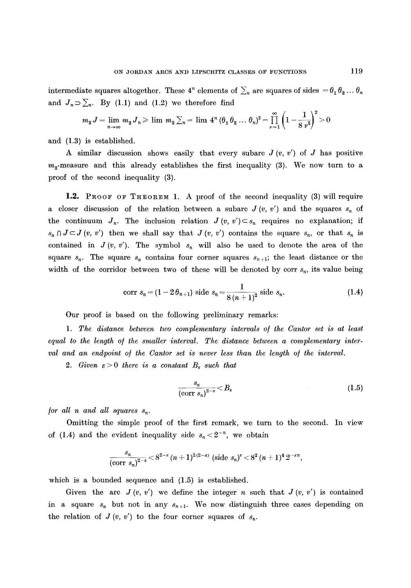intermediate squares altogether. These  $4^n$  elements of  $\sum_n$  are squares of sides  $=\theta_1\theta_2\ldots\theta_n$ and  $J_n \supset \sum_n$ . By (1.1) and (1.2) we therefore find

$$
m_2 J = \lim_{n \to \infty} m_2 J_n \ge \lim_{n \to \infty} m_2 \sum_n = \lim_{n \to \infty} 4^n (\theta_1 \theta_2 \dots \theta_n)^2 = \prod_{\nu=1}^{\infty} \left( 1 - \frac{1}{8 \nu^2} \right)^2 > 0
$$

and (1.3) is established.

A similar discussion shows easily that every subarc  $J(v, v')$  of  $J$  has positive  $m_{\gamma}$ -measure and this already establishes the first inequality (3). We now turn to a proof of the second inequality (3).

1.2. PROOF OF THEOREM 1. A proof of the second inequality (3) will require a closer discussion of the relation between a subarc  $J(v, v')$  and the squares  $s_n$  of the continuum  $J_n$ . The inclusion relation  $J(v, v') \subset s_n$  requires no explanation; if  $s_n \cap J \subset J(v, v')$  then we shall say that  $J(v, v')$  contains the square  $s_n$ , or that  $s_n$  is contained in  $J(v, v')$ . The symbol  $s_n$  will also be used to denote the area of the square  $s_n$ . The square  $s_n$  contains four corner squares  $s_{n+1}$ ; the least distance or the width of the corridor between two of these will be denoted by corr  $s_n$ , its value being

$$
\text{corr } s_n = (1 - 2\,\theta_{n+1}) \text{ side } s_n = \frac{1}{8\,(n+1)^2} \text{ side } s_n. \tag{1.4}
$$

Our proof is based on the following preliminary remarks:

1. The distance between two complementary intervals of the Cantor set is at least equal to the length of the smaller interval. The distance between a complementary inter*val and an endpoint of the Cantor set is never less than the length of the interval.* 

2. Given  $\varepsilon > 0$  there is a constant  $B_{\varepsilon}$  such that

$$
\frac{s_n}{(\text{corr } s_n)^{2-\epsilon}} < B_{\epsilon} \tag{1.5}
$$

*for all n and all squares*  $s_n$ .

Omitting the simple proof of the first remark, we turn to the second. In view of (1.4) and the evident inequality side  $s_n < 2^{-n}$ , we obtain

$$
\frac{s_n}{(\text{corr }s_n)^{2-\epsilon}} < 8^{2-\epsilon} (n+1)^{2(2-\epsilon)} (\text{side }s_n)^{\epsilon} < 8^2 (n+1)^4 2^{-\epsilon n},
$$

which is a bounded sequence and  $(1.5)$  is established.

Given the arc  $J(v, v')$  we define the integer n such that  $J(v, v')$  is contained in a square  $s_n$  but not in any  $s_{n+1}$ . We now distinguish three cases depending on the relation of  $J(v, v')$  to the four corner squares of  $s_n$ .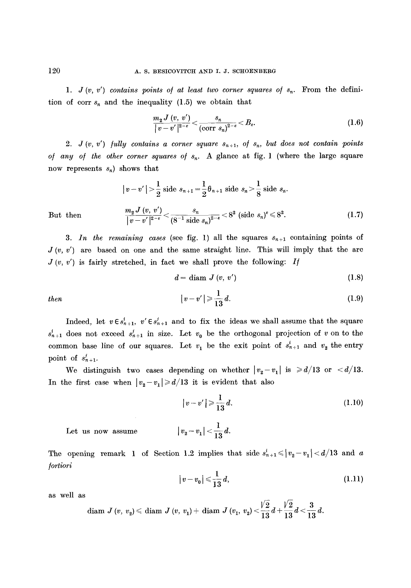1.  $J(v, v')$  contains points of at least two corner squares of  $s_n$ . From the definition of corr  $s_n$  and the inequality (1.5) we obtain that

$$
\frac{m_{2} J\left(v, v^{\prime}\right)}{\left|v-v^{\prime}\right|^{2-\varepsilon}} < \frac{s_{n}}{\left(\text{corr } s_{n}\right)^{2-\varepsilon}} < B_{\varepsilon}.\tag{1.6}
$$

2.  $J(v, v')$  *fully contains a corner square*  $s_{n+1}$ *, of*  $s_n$ , *but does not contain points* of any of the other corner squares of  $s_n$ . A glance at fig. 1 (where the large square now represents  $s_n$ ) shows that

$$
|v - v'| > \frac{1}{2} \text{ side } s_{n+1} = \frac{1}{2} \theta_{n+1} \text{ side } s_n > \frac{1}{8} \text{ side } s_n.
$$
  

$$
\frac{m_2 J(v, v')}{|v - v'|^{2-\epsilon}} < \frac{s_n}{(8^{-1} \text{ side } s_n)^{2-\epsilon}} < 8^2 \text{ (side } s_n)^{\epsilon} \le 8^2.
$$
 (1.7)

But then

3. In the remaining cases (see fig. 1) all the squares  $s_{n+1}$  containing points of  $J(v, v')$  are based on one and the same straight line. This will imply that the arc  $J(v, v')$  is fairly stretched, in fact we shall prove the following: If

$$
d = \text{diam } J\left(v, v'\right) \tag{1.8}
$$

then 
$$
|v-v'|\geqslant \frac{1}{13}d. \hspace{1.5cm} (1.9)
$$

Indeed, let  $v \in s_{n+1}^i$ ,  $v' \in s_{n+1}^i$  and to fix the ideas we shall assume that the square  $s_{n+1}^i$  does not exceed  $s_{n+1}^i$  in size. Let  $v_0$  be the orthogonal projection of v on to the common base line of our squares. Let  $v_1$  be the exit point of  $s_{n+1}^i$  and  $v_2$  the entry point of  $s'_{n+1}$ .

We distinguish two cases depending on whether  $|v_2 - v_1|$  is  $\ge d/13$  or  $\lt d/13$ . In the first case when  $|v_2-v_1|\geqslant d/13$  it is evident that also

$$
|v-v'| \geqslant \frac{1}{13} d. \tag{1.10}
$$

Let us now assume

The opening remark 1 of Section 1.2 implies that side 
$$
s_{n+1}^i \le |v_2 - v_1| < d/13
$$
 and a *portioni*

 $|v_2-v_1|<\frac{1}{13}d.$ 

$$
|v - v_0| \leqslant \frac{1}{13} d,\tag{1.11}
$$

as well as

$$
\text{diam } J\left(v, v_{2}\right) \leqslant \text{diam } J\left(v, v_{1}\right) + \text{diam } J\left(v_{1}, v_{2}\right) < \frac{\sqrt{2}}{13} d + \frac{\sqrt{2}}{13} d < \frac{3}{13} d.
$$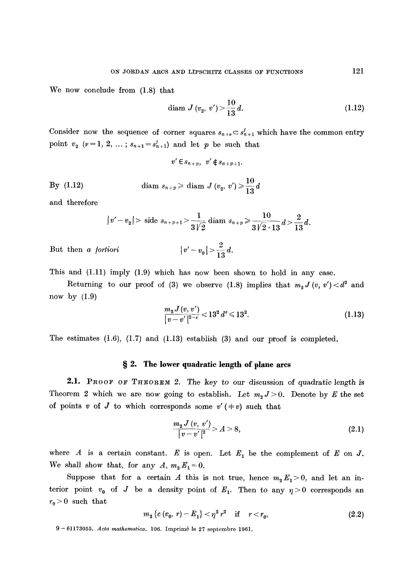We now conclude from (1.8) that

$$
diam J (v_2, v') > \frac{10}{13} d. \tag{1.12}
$$

Consider now the sequence of corner squares  $s_{n+\nu} \subset s_{n+1}^j$  which have the common entry point  $v_2$  ( $v=1, 2, ...$ ;  $s_{n+1}=s'_{n+1}$ ) and let p be such that

$$
v' \in s_{n+p}, v' \notin s_{n+p+1}.
$$

By (1.12) 
$$
\text{diam } s_{n+p} \geqslant \text{diam } J (v_2, v') \geqslant \frac{10}{13} d
$$

and therefore

$$
|v'-v_2|
$$
 > side  $s_{n+p+1}$  >  $\frac{1}{3\sqrt{2}}$  diam  $s_{n+p}$  >  $\frac{10}{3\sqrt{2} \cdot 13}d$  >  $\frac{2}{13}d$ .

But then *a fortiori*  $|v'-v_0|>\frac{2}{13}d$ .

This and 
$$
(1.11)
$$
 imply  $(1.9)$  which has now been shown to hold in any case.

Returning to our proof of (3) we observe (1.8) implies that  $m_2 J(v, v') < d^2$  and now by  $(1.9)$ 

$$
\frac{m_2 J(v, v')}{|v - v'|^{2-\epsilon}} < 13^2 d^{\epsilon} \le 13^2.
$$
\n(1.13)

The estimates (1.6), (1.7) and (1.13) establish (3) and our proof is completed.

## **w 2. The lower quadratic length of plane ares**

2.1. PROOF OF THEOREM 2. The key to our discussion of quadratic length is Theorem 2 which we are now going to establish. Let  $m_2 J > 0$ . Denote by E the set of points v of J to which corresponds some  $v'(\pm v)$  such that

$$
\frac{m_2 J\left(v, v'\right)}{|v - v'|^2} > A > 8,\tag{2.1}
$$

where A is a certain constant. E is open. Let  $E_1$  be the complement of E on J. We shall show that, for any  $A, m_2 E_1 = 0$ .

Suppose that for a certain A this is not true, hence  $m_2 E_1 > 0$ , and let an interior point  $v_0$  of J be a density point of  $E_1$ . Then to any  $\eta > 0$  corresponds an  $r_{\rm 0}\!>\!0\,$  such that

$$
m_2 \{c(v_0, r) - E_1\} < \eta^2 r^2
$$
 if  $r < r_0$ , (2.2)

<sup>9- 61173055.</sup> *Acta mathematica.* 106. Imprim6 le 27 septembre 1961.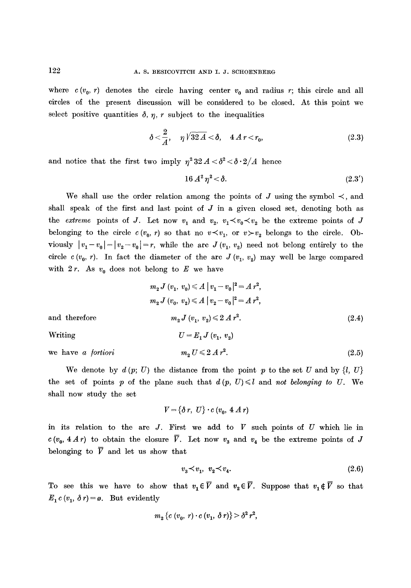where  $c(v_0, r)$  denotes the circle having center  $v_0$  and radius r; this circle and all circles of the present discussion will be considered to be closed. At this point we select positive quantities  $\delta$ ,  $\eta$ , r subject to the inequalities

$$
\delta < \frac{2}{A}, \quad \eta \sqrt{32A} < \delta, \quad 4A r < r_0,
$$
\n(2.3)

and notice that the first two imply  $\eta^2 32 A < \delta^2 < \delta \cdot 2/A$  hence

$$
16 A^2 \eta^2 < \delta. \tag{2.3'}
$$

We shall use the order relation among the points of J using the symbol  $\prec$ , and shall speak of the first and last point of  $J$  in a given closed set, denoting both as the *extreme* points of J. Let now  $v_1$  and  $v_2$ ,  $v_1 \prec v_0 \prec v_2$  be the extreme points of J belonging to the circle  $c(v_0, r)$  so that no  $v \lt v_1$ , or  $v > v_2$  belongs to the circle. Obviously  $|v_1 - v_0| = |v_2 - v_0| = r$ , while the arc  $J(v_1, v_2)$  need not belong entirely to the circle c  $(v_0, r)$ . In fact the diameter of the arc  $J (v_1, v_2)$  may well be large compared with  $2r$ . As  $v_0$  does not belong to E we have

$$
m_2 J (v_1, v_0) \leq A |v_1 - v_0|^2 = A r^2,
$$
  
\n
$$
m_2 J (v_0, v_2) \leq A |v_2 - v_0|^2 = A r^2,
$$
  
\nand therefore  
\n
$$
m_2 J (v_1, v_2) \leq 2 A r^2.
$$
\n
$$
U = E_1 J (v_1, v_2)
$$
\n
$$
m_2 U \leq 2 A r^2.
$$
\n(2.5)

We denote by  $d(p; U)$  the distance from the point p to the set U and by  $\{l, U\}$ the set of points p of the plane such that  $d(p, U) \leq l$  and *not belonging to U.* We shall now study the set

$$
V = \{\delta r, U\} \cdot c \ (v_0, 4 \ A \ r)
$$

in its relation to the arc  $J$ . First we add to  $V$  such points of  $U$  which lie in  $c(v_0, 4Ar)$  to obtain the closure  $\overline{V}$ . Let now  $v_3$  and  $v_4$  be the extreme points of J belonging to  $\overline{V}$  and let us show that

$$
v_3 \prec v_1, \ v_2 \prec v_4. \tag{2.6}
$$

To see this we have to show that  $v_1 \in \overline{V}$  and  $v_2 \in \overline{V}$ . Suppose that  $v_1 \notin \overline{V}$  so that  $E_1 c (v_1, \delta r) = \emptyset$ . But evidently

$$
m_2 \{c \ (v_0, r) \cdot c \ (v_1, \ \delta \ r) \} > \delta^2 \ r^2,
$$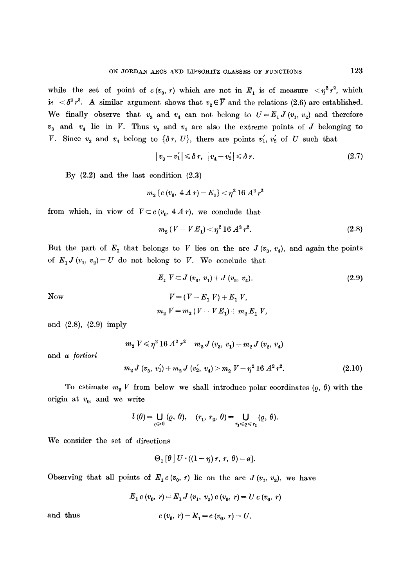while the set of point of  $c(v_0, r)$  which are not in  $E_1$  is of measure  $\langle \eta^2 r^2 \rangle$ , which is  $\langle \delta^2 r^2$ . A similar argument shows that  $v_2 \in \overline{V}$  and the relations (2.6) are established. We finally observe that  $v_3$  and  $v_4$  can not belong to  $U=E_1 J(v_1, v_2)$  and therefore  $v_3$  and  $v_4$  lie in V. Thus  $v_3$  and  $v_4$  are also the extreme points of J belonging to V. Since  $v_3$  and  $v_4$  belong to  $\{\delta r, U\}$ , there are points  $v_1, v_2$  of U such that

$$
|v_3 - v_1'| \leq \delta r, \quad |v_4 - v_2'| \leq \delta r. \tag{2.7}
$$

By  $(2.2)$  and the last condition  $(2.3)$ 

$$
m_2\, \{c\,(v_0,\ 4\ A\ r)-E_1\}<\eta^2\, 16\, A^2\, r^2
$$

from which, in view of  $V \subset c (v_0, 4A r)$ , we conclude that

$$
m_2\left(V - VE_1\right) < \eta^2 \, 16 \, A^2 \, r^2. \tag{2.8}
$$

But the part of  $E_1$  that belongs to V lies on the arc  $J(v_3, v_4)$ , and again the points of  $E_1 J(v_1, v_2) = U$  do not belong to V. We conclude that

Now  
\n
$$
E_1 V \subset J (v_3, v_1) + J (v_2, v_4).
$$
\n
$$
V = (V - E_1 V) + E_1 V,
$$
\n
$$
m_2 V = m_2 (V - V E_1) + m_2 E_1 V,
$$
\n(2.9)

and (2.8), (2.9) imply

 $m_2 V \leq \eta^2 16 A^2 r^2 + m_2 J (v_3, v_1) + m_2 J (v_2, v_4)$ 

and *a /ortiori* 

$$
m_2 J\left(v_3,\, v_1'\right) + m_2 J\left(v_2',\, v_4\right) > m_2 V - \eta^2 \, 16 \, A^2 \, r^2. \tag{2.10}
$$

To estimate  $m_2$  V from below we shall introduce polar coordinates  $(\varrho, \theta)$  with the origin at  $v_0$ , and we write

$$
l(\theta) = \bigcup_{\varrho \geq 0} (\varrho, \theta), \quad (r_1, r_2, \theta) = \bigcup_{r_1 \leq \varrho \leq r_2} (\varrho, \theta).
$$

We consider the set of directions

$$
\Theta_1\left[\theta\right]U\cdot\left(\left(1-\eta\right)r,\,r,\,\theta\right)=\varnothing].
$$

Observing that all points of  $E_1 c (v_0, r)$  lie on the arc  $J (v_1, v_2)$ , we have

$$
E_1 c (v_0, r) = E_1 J (v_1, v_2) c (v_0, r) = U c (v_0, r)
$$

and thus  $c(v_0, r) - E_1 = c(v_0, r) - U$ .

$$
^{123}
$$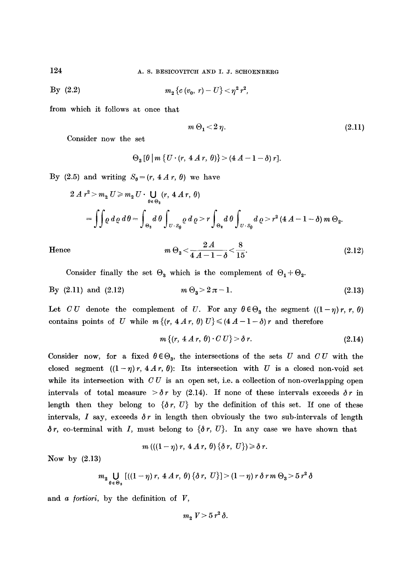124 A. S. BESICOVITCH AND I. J. SCHOENBERG

By (2.2) 
$$
m_2 \{c(v_0, r) - U\} < \eta^2 r^2,
$$

from which it follows at once that

$$
m \Theta_1 < 2 \eta. \tag{2.11}
$$

Consider now the set

$$
\Theta_{2} [\theta] m \{ U \cdot (r, 4 A r, \theta) \} > (4 A - 1 - \delta) r].
$$

By (2.5) and writing  $S_{\theta} = (r, 4 A r, \theta)$  we have

$$
2 A r2 > m2 U \ge m2 U \cdot \bigcup_{\theta \in \Theta_2} (r, 4 A r, \theta)
$$
  
= 
$$
\iint \rho d\rho d\theta = \int_{\Theta_2} d\theta \int_{U \cdot S_{\theta}} \rho d\rho \int_{U \cdot S_{\theta}} d\rho \int_{U \cdot S_{\theta}} d\rho \int_{U \cdot S_{\theta}} d\rho \int_{U \cdot S_{\theta}} d\rho \cdot r2 (4 A - 1 - \delta) m \Theta_2.
$$

Hence 
$$
m \Theta_2 < \frac{2A}{4A - 1 - \delta} < \frac{8}{15}
$$
. (2.12)

Consider finally the set  $\Theta_3$  which is the complement of  $\Theta_1 + \Theta_2$ .

By (2.11) and (2.12) 
$$
m \Theta_3 > 2 \pi - 1.
$$
 (2.13)

Let CU denote the complement of U. For any  $\theta \in \Theta_3$  the segment  $((1-\eta)r, r, \theta)$ contains points of U while  $m \{(r, 4A r, \theta) U\} \leq (4A - 1 - \delta) r$  and therefore

$$
m\left\{(r, 4A r, \theta) \cdot C U\right\} > \delta r. \tag{2.14}
$$

Consider now, for a fixed  $\theta \in \Theta_3$ , the intersections of the sets U and CU with the closed segment  $((1-\eta)r, 4Ar, \theta)$ : Its intersection with U is a closed non-void set while its intersection with  $CU$  is an open set, i.e. a collection of non-overlapping open intervals of total measure  $\partial r$  by (2.14). If none of these intervals exceeds  $\delta r$  in length then they belong to  $\{\delta r, U\}$  by the definition of this set. If one of these intervals, I say, exceeds  $\delta r$  in length then obviously the two sub-intervals of length  $\delta r$ , co-terminal with I, must belong to  $\{\delta r, U\}$ . In any case we have shown that

$$
m\left(\left(\left(1-\eta\right)r,\ 4\ A\ r,\ \theta\right)\left\{\delta\ r,\ U\right\}\right)\geqslant\delta\ r.
$$

Now by  $(2.13)$ 

$$
m_2 \bigcup_{\theta \in \Theta_3} \left[ \left( (1 - \eta) r, 4 \mathcal{A} r, \theta \right) \{ \delta r, U \} \right] > (1 - \eta) r \delta r m \Theta_3 > 5 r^2 \delta
$$

and *a /ortiori,* by the definition of *V,* 

$$
m_{2} V > 5 r^{2} \delta.
$$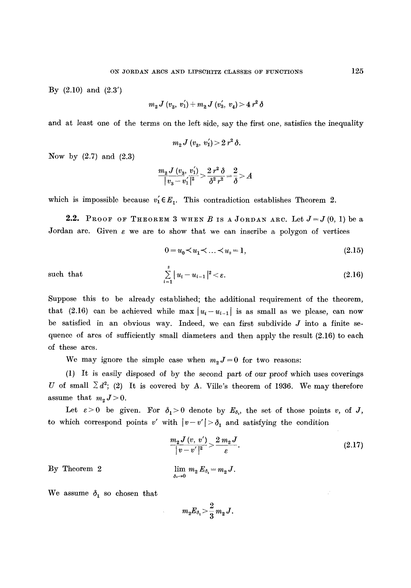By  $(2.10)$  and  $(2.3')$ 

$$
m_2 J\ (v_{3},\ v^{'}_1) + m_2 J\ (v^{'}_3,\ v_{4}) \geq 4\ r^{2}\ \delta
$$

and at least one of the terms on the left side, say the first one, satisfies the inequality

$$
m_2 J\ (v_3, v_1') > 2 r^2 \delta.
$$

Now by  $(2.7)$  and  $(2.3)$ 

$$
\frac{m_{\mathbf{2}} \, J \, (v_{\mathbf{3}}, \, v_1^{'})}{| \, v_{\mathbf{3}} \, - \, v_1^{'} \, |^2} \! > \! \frac{2 \, r^2 \, \delta}{\delta^2 \, r^2} \! = \! \frac{2}{\delta} \! > \! A
$$

which is impossible because  $v'_1 \in E_1$ . This contradiction establishes Theorem 2.

2.2. PROOF OF THEOREM 3 WHEN B IS A JORDAN ARC. Let  $J=J(0, 1)$  be a Jordan are. Given  $\varepsilon$  we are to show that we can inscribe a polygon of vertices

$$
0 = u_0 \lt u_1 \lt \ldots \lt u_s = 1,\tag{2.15}
$$

such that 
$$
\sum_{i=1}^{s} |u_i - u_{i-1}|^2 < \varepsilon.
$$
 (2.16)

Suppose this to be already established; the additional requirement of the theorem, that (2.16) can be achieved while max  $|u_i-u_{i-1}|$  is as small as we please, can now be satisfied in an obvious way. Indeed, we can first subdivide  $J$  into a finite sequence of arcs of sufficiently small diameters and then apply the result  $(2.16)$  to each of these arcs.

We may ignore the simple case when  $m_2J=0$  for two reasons:

(1) It is easily disposed of by the second part of our proof which uses coverings U of small  $\sum d^2$ ; (2) It is covered by A. Ville's theorem of 1936. We may therefore assume that  $m_2 J > 0$ .

Let  $\varepsilon > 0$  be given. For  $\delta_1 > 0$  denote by  $E_{\delta_1}$ , the set of those points v, of J, to which correspond points *v'* with  $|v-v'| > \delta_1$  and satisfying the condition

$$
\frac{m_{\mathbf{z}}J\left(v,\;v'\right)}{\left|v-v'\right|^2} > \frac{2\,m_{\mathbf{z}}J}{\varepsilon}.\tag{2.17}
$$

By Theorem 2

 $\lim_{\delta_1\to 0} m_2 E_{\delta_1} = m_2 J.$ 

We assume  $\delta_1$  so chosen that

$$
m_2E_{\delta_1}\!>\!\frac{2}{3}\,m_2\,J.
$$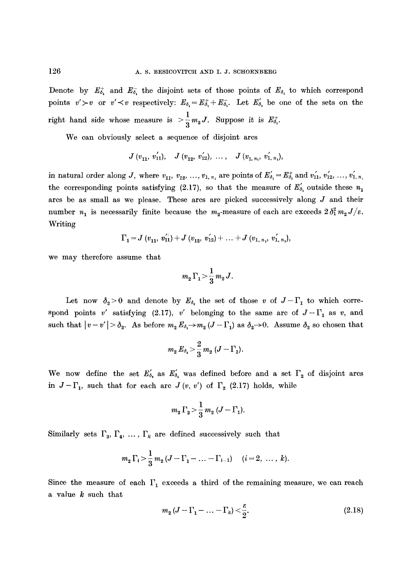Denote by  $E_{\delta_1}^+$  and  $E_{\delta_1}^-$  the disjoint sets of those points of  $E_{\delta_1}$  to which correspond points  $v' > v$  or  $v' < v$  respectively:  $E_{\delta_1} = E_{\delta_1}^+ + E_{\delta_2}^-$ . Let  $E'_{\delta_1}$  be one of the sets on the right hand side whose measure is  $>$   $\frac{1}{2} m_2 J$ . Suppose it is  $E_{\delta}^+$ .

We can obviously select a sequence of disjoint arcs

$$
J(v_{11}, v'_{11}), \quad J(v_{12}, v'_{12}), \quad \ldots, \quad J(v_{1, n_1}, v'_{1, n_1}),
$$

in natural order along J, where  $v_{11}$ ,  $v_{12}$ , ...,  $v_{1, n_1}$  are points of  $E'_{\delta_1} = E^+_{\delta_1}$  and  $v'_{11}$ ,  $v'_{12}$ , ...,  $v'_{1, n_1}$ the corresponding points satisfying (2.17), so that the measure of  $E'_{\delta_1}$  outside these  $n_1$ arcs be as small as we please. These arcs are picked successively along J and their number  $n_1$  is necessarily finite because the  $m_2$ -measure of each arc exceeds  $2\delta_1^2 m_2 J/\varepsilon$ . Writing

$$
\Gamma_1 = J\ (v_{11},\ v_{11}') + J\ (v_{12},\ v_{12}') + \ldots + J\ (v_{1,\ n_1},\ v_{1,\ n_1}'),
$$

we may therefore assume that

$$
m_2\,\Gamma_1\!>\!\frac{1}{3}\,m_2\,J.
$$

Let now  $\delta_2 > 0$  and denote by  $E_{\delta_2}$  the set of those v of  $J-\Gamma_1$  to which correspond points v' satisfying (2.17), v' belonging to the same arc of  $J-\Gamma_1$  as v, and such that  $|v-v'| > \delta_2$ . As before  $m_2 E_{\delta_1} \rightarrow m_2 (J - \Gamma_1)$  as  $\delta_2 \rightarrow 0$ . Assume  $\delta_2$  so chosen that

$$
m_2 E_{\delta_2} > \frac{2}{3} m_2 (J - \Gamma_1).
$$

We now define the set  $E'_{\delta_i}$  as  $E'_{\delta_i}$  was defined before and a set  $\Gamma_2$  of disjoint arcs in  $J-\Gamma_1$ , such that for each arc  $J(v, v')$  of  $\Gamma_2$  (2.17) holds, while

$$
m_2\,\Gamma_2\!>\!\frac{1}{3}\,m_2\;(J-\Gamma_1).
$$

Similarly sets  $\Gamma_3, \Gamma_4, \ldots, \Gamma_k$  are defined successively such that

$$
m_2 \Gamma_i > \frac{1}{3} m_2 (J - \Gamma_1 - ... - \Gamma_{i-1})
$$
  $(i = 2, ..., k).$ 

Since the measure of each  $\Gamma_1$  exceeds a third of the remaining measure, we can reach a value k such that

$$
m_2\left(J-\Gamma_1-\ldots-\Gamma_k\right)<\frac{\varepsilon}{2}.\tag{2.18}
$$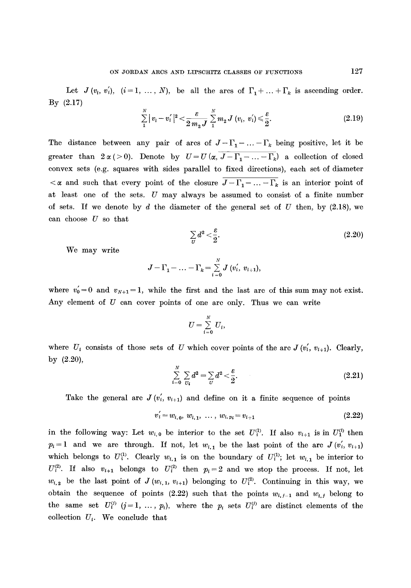Let  $J(v_i, v_i), i = 1, ..., N$ , be all the arcs of  $\Gamma_1 + ... + \Gamma_k$  is ascending order. By (2.17)

$$
\sum_{1}^{N} |v_i - v_i'|^2 < \frac{\varepsilon}{2 m_2 J} \sum_{1}^{N} m_2 J(v_i, v_i') \leq \frac{\varepsilon}{2}.
$$
\n(2.19)

The distance between any pair of arcs of  $J-\Gamma_1-\ldots-\Gamma_k$  being positive, let it be greater than  $2\alpha (>0)$ . Denote by  $U=U(\alpha, J-\Gamma_1-\ldots-\Gamma_k)$  a collection of closed convex sets (e.g. squares with sides parallel to fixed directions), each set of diameter  $\langle \alpha \rangle$  and such that every point of the closure  $\overline{J-\Gamma_1-\ldots-\Gamma_k}$  is an interior point of at least one of the sets. U may always be assumed to consist of a finite number of sets. If we denote by d the diameter of the general set of  $U$  then, by (2.18), we can choose  $U$  so that

$$
\sum_{U} d^2 < \frac{\varepsilon}{2}.\tag{2.20}
$$

We may write

$$
J-\Gamma_1-\ldots-\Gamma_k=\sum_{i=0}^N J\ (v_i^{'},\ v_{i+1}),
$$

where  $v_0'=0$  and  $v_{N+1}=1$ , while the first and the last arc of this sum may not exist. Any element of  $U$  can cover points of one arc only. Thus we can write

$$
U=\sum_{i=0}^N U_i,
$$

where  $U_i$  consists of those sets of U which cover points of the arc  $J(v_i', v_{i+1})$ . Clearly, by (2.20),

$$
\sum_{i=0}^{N} \sum_{U_i} d^2 = \sum_{U} d^2 < \frac{\varepsilon}{2}.
$$
 (2.21)

Take the general arc  $J(v_i', v_{i+1})$  and define on it a finite sequence of points

$$
v'_{i} = w_{i,0}, \ w_{i,1}, \ \ldots, \ w_{i,p_i} = v_{i+1} \tag{2.22}
$$

in the following way: Let  $w_{i,0}$  be interior to the set  $U_i^{(1)}$ . If also  $v_{i+1}$  is in  $U_1^{(i)}$  then  $p_i = 1$  and we are through. If not, let  $w_{i,1}$  be the last point of the arc  $J(v'_i, v_{i+1})$ which belongs to  $U_i^{(1)}$ . Clearly  $w_{i,1}$  is on the boundary of  $U_i^{(1)}$ ; let  $w_{i,1}$  be interior to  $U^{(2)}_i$ . If also  $v_{i+1}$  belongs to  $U^{(2)}_i$  then  $p_i=2$  and we stop the process. If not, let  $w_{i,2}$  be the last point of *J*( $w_{i,1}$ ,  $v_{i+1}$ ) belonging to  $U_i^{(2)}$ . Continuing in this way, we obtain the sequence of points (2.22) such that the points  $w_{i,j-1}$  and  $w_{i,j}$  belong to the same set  $U_i^{(j)}$   $(j=1, \ldots, p_i)$ , where the  $p_i$  sets  $U_i^{(j)}$  are distinct elements of the collection  $U_i$ . We conclude that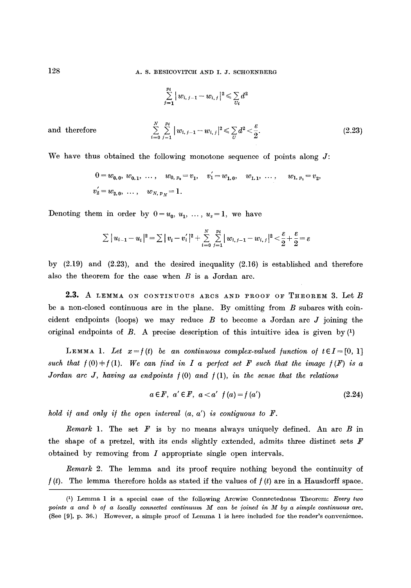128 **A. S. BESICOVITCH AND I. J. SCHOENBERG** 

$$
\sum_{j=1}^{N} |w_{i,j-1} - w_{i,j}|^2 \le \sum_{U_i} d^2
$$
  
and therefore 
$$
\sum_{i=0}^{N} \sum_{j=1}^{p_i} |w_{i,j-1} - w_{i,j}|^2 \le \sum_{U} d^2 < \frac{\varepsilon}{2}.
$$
 (2.23)

We have thus obtained the following monotone sequence of points along  $J$ :

 $\ddot{ }$ 

$$
0 = w_{0,0}, w_{0,1}, \dots, w_{0, p_0} = v_1, v'_1 = w_{1,0}, w_{1,1}, \dots, w_{1, p_1} = v_2,
$$
  

$$
v'_2 = w_{2,0}, \dots, w_{N, p_N} = 1.
$$

Denoting them in order by  $0=u_0, u_1, \ldots, u_s=1$ , we have

$$
\sum |u_{i-1} - u_i|^2 = \sum |v_i - v'_i|^2 + \sum_{i=0}^N \sum_{j=1}^{p_i} |w_{i,j-1} - w_{i,j}|^2 < \frac{\varepsilon}{2} + \frac{\varepsilon}{2} = \varepsilon
$$

by (2.19) and (2.23), and the desired inequality (2.16) is established and therefore also the theorem for the case when  $B$  is a Jordan arc.

2.3. A LEMMA ON CONTINUOUS ARCS AND PROOF OF THEOREM 3. Let B be a non-closed continuous arc in the plane. By omitting from B subarcs with coincident endpoints (loops) we may reduce  $B$  to become a Jordan arc  $J$  joining the original endpoints of B. A precise description of this intuitive idea is given by  $(1)$ 

LEMMA 1. Let  $x=f(t)$  be an continuous complex-valued function of  $t\in I=[0, 1]$ such that  $f(0) \neq f(1)$ . We can find in I a perfect set F such that the image  $f(F)$  is a *Jordan arc J, having as endpoints /(0) and* /(1), *in the sense that the relations* 

$$
a \in F, \ a' \in F, \ a < a' \ f(a) = f(a') \tag{2.24}
$$

*hold if and only if the open interval*  $(a, a')$  *is contiguous to F.* 

*Remark* 1. The set  $F$  is by no means always uniquely defined. An arc  $B$  in the shape of a pretzel, with its ends slightly extended, admits three distinct sets  $F$ obtained by removing from I appropriate single open intervals.

*Remark* 2. The lemma and its proof require nothing beyond the continuity of  $f(t)$ . The lemma therefore holds as stated if the values of  $f(t)$  are in a Hausdorff space.

<sup>(1)</sup> Lemma 1 is a special case of the following Arcwise Connectedness Theorem: *Every two*  points a and b of a locally connected continuum M can be joined in M by a simple continuous arc. (See [9], p. 36.) However, a simple proof of Lemma 1 is here included for the reader's convenience.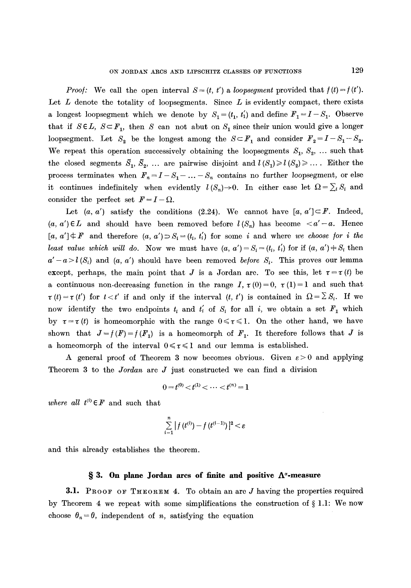*Proof:* We call the open interval  $S = (t, t')$  a *loopseqment* provided that  $f(t) = f(t')$ . Let  $L$  denote the totality of loopsegments. Since  $L$  is evidently compact, there exists a longest loopsegment which we denote by  $S_1 = (t_1, t_1)$  and define  $F_1 = I - S_1$ . Observe that if  $S \in L$ ,  $S \subset F_1$ , then S can not abut on  $S_1$  since their union would give a longer loopsegment. Let  $S_2$  be the longest among the  $S \subset F_1$  and consider  $F_2 = I - S_1 - S_2$ . We repeat this operation successively obtaining the loopsegments  $S_1, S_2, \ldots$  such that the closed segments  $\bar{S}_1, \bar{S}_2, \ldots$  are pairwise disjoint and  $l(S_1) \geq l(S_2) \geq \ldots$ . Either the process terminates when  $F_n = I - S_1 - \ldots - S_n$  contains no further loopsegment, or else it continues indefinitely when evidently  $l(S_n) \rightarrow 0$ . In either case let  $\Omega = \sum_i S_i$  and consider the perfect set  $F = I - \Omega$ .

Let  $(a, a')$  satisfy the conditions (2.24). We cannot have  $[a, a'] \subset F$ . Indeed,  $(a, a') \in L$  and should have been removed before  $l(S_n)$  has become  $a' - a$ . Hence  $[a, a'] \neq F$  and therefore  $(a, a') \supset S_i = (t_i, t_i')$  for some i and where we choose for i the *least value which will do.* Now we must have  $(a, a') = S_i = (t_i, t'_i)$  for if  $(a, a') \neq S_i$  then  $a'-a>l(S_i)$  and  $(a, a')$  should have been removed *before*  $S_i$ . This proves our lemma except, perhaps, the main point that J is a Jordan arc. To see this, let  $\tau = \tau(t)$  be a continuous non-decreasing function in the range I,  $\tau(0)=0$ ,  $\tau(1)=1$  and such that  $\tau(t) = \tau(t')$  for  $t < t'$  if and only if the interval  $(t, t')$  is contained in  $\Omega = \sum S_i$ . If we now identify the two endpoints  $t_i$  and  $t'_i$  of  $S_i$  for all  $i$ , we obtain a set  $F_1$  which by  $\tau = \tau(t)$  is homeomorphic with the range  $0 \leq \tau \leq 1$ . On the other hand, we have shown that  $J=f(F) = f(F_1)$  is a homeomorph of  $F_1$ . It therefore follows that J is a homeomorph of the interval  $0 \le \tau \le 1$  and our lemma is established.

A general proof of Theorem 3 now becomes obvious. Given  $\varepsilon > 0$  and applying Theorem 3 to the *Jordan* arc J just constructed we can find a division

$$
0 = t^{(0)} < t^{(1)} < \cdots < t^{(n)} = 1
$$

*where all*  $t^{(i)} \in F$  and such that

$$
\sum_{i=1}^{n} |f(t^{(i)}) - f(t^{(i-1)})|^2 < \varepsilon
$$

and this already establishes the theorem.

## **w 3. On plane Jordan arcs of finite and positive A~-measure**

**3.1.** PROOF OF THEOREM 4. To obtain an arc  $J$  having the properties required by Theorem 4 we repeat with some simplifications the construction of  $\S 1.1$ : We now choose  $\theta_n = \theta$ , independent of *n*, satisfying the equation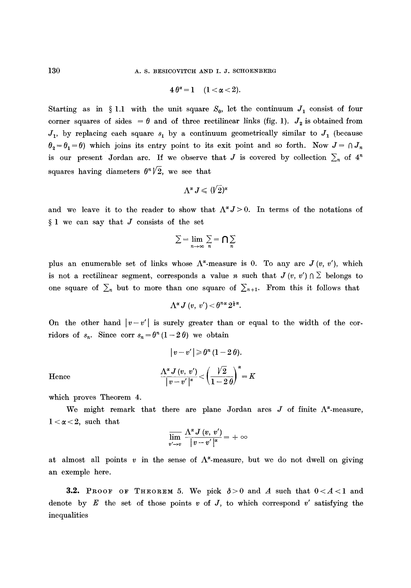$$
4\theta^{\alpha}=1\quad(1<\alpha<2).
$$

Starting as in § 1.1 with the unit square  $S_0$ , let the continuum  $J_1$  consist of four corner squares of sides =  $\theta$  and of three rectilinear links (fig. 1).  $J_2$  is obtained from  $J_1$ , by replacing each square  $s_1$  by a continuum geometrically similar to  $J_1$  (because  $\theta_2 = \theta_1 = \theta$ ) which joins its entry point to its exit point and so forth. Now  $J = \theta_1 J_n$ is our present Jordan arc. If we observe that J is covered by collection  $\sum_n$  of  $4^n$ squares having diameters  $\theta^{n}/2$ , we see that

$$
\Lambda^{\alpha} J \leqslant (\not\!V2)^{\alpha}
$$

and we leave it to the reader to show that  $\Lambda^{\alpha} J > 0$ . In terms of the notations of  $§$  1 we can say that  $J$  consists of the set

$$
\textstyle\sum=\lim\limits_{n\to\infty}\sum\limits_{n}=\bigcap\limits_{n}\sum\limits_{n}
$$

plus an enumerable set of links whose  $\Lambda^{\alpha}$ -measure is 0. To any arc  $J(v, v')$ , which is not a rectilinear segment, corresponds a value n such that  $J(v, v') \cap \Sigma$  belongs to one square of  $\sum_{n=1}^{\infty}$  but to more than one square of  $\sum_{n=1}^{\infty}$ . From this it follows that

$$
\Lambda^{\alpha} J\left(v, v^{\prime}\right) < \theta^{n_{\alpha}} 2^{\frac{1}{2}\alpha}.
$$

On the other hand  $|v-v'|$  is surely greater than or equal to the width of the corridors of  $s_n$ . Since corr  $s_n = \theta^n (1-2\theta)$  we obtain

$$
\left|\,v-v'\,\right|\geqslant\theta^{n}\,(1-2\,\theta).
$$
 
$$
\frac{\Lambda^{\alpha}\,J\left(v,\ v'\right)}{\left|\,v-v'\,\right|^{\alpha}}<\left(\frac{\sqrt{2}}{1-2\,\theta}\right)^{\alpha}=K
$$

Hence

which proves Theorem 4.

We might remark that there are plane Jordan arcs  $J$  of finite  $\Lambda^2$ -measure,  $1 < \alpha < 2$ , such that

$$
\varlimsup_{v'\to v}\,\frac{\Lambda^\alpha\, J\left(v,\,v'\right)}{\,\left|\,v-v'\,\right|^{\alpha}}=+\,\infty
$$

at almost all points v in the sense of  $\Lambda^*$ -measure, but we do not dwell on giving an exemple here.

3.2. PROOF OF THEOREM 5. We pick  $\delta > 0$  and A such that  $0 < A < 1$  and denote by E the set of those points  $v$  of  $J$ , to which correspond  $v'$  satisfying the inequalities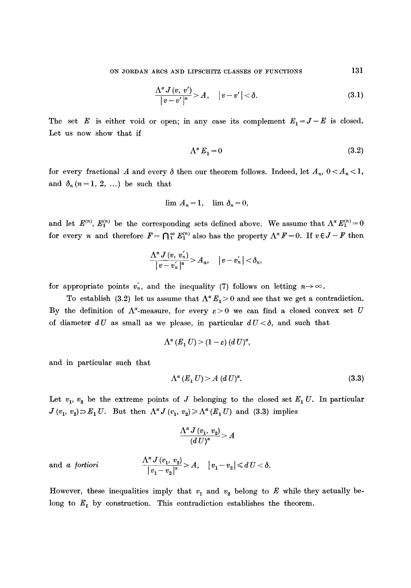$$
\frac{\Lambda^{\alpha} J\left(v,\ v'\right)}{\left|v-v'\right|^{\alpha}} > A,\quad \left|v-v'\right| < \delta. \tag{3.1}
$$

The set E is either void or open; in any case its complement  $E_1 = J - E$  is closed. Let us now show that if

$$
\Lambda^{\alpha} E_1 = 0 \tag{3.2}
$$

for every fractional A and every  $\delta$  then our theorem follows. Indeed, let  $A_n$ ,  $0 < A_n < 1$ , and  $\delta_n$   $(n = 1, 2, ...)$  be such that

$$
\lim A_n = 1, \quad \lim \delta_n = 0,
$$

and let  $E^{(n)}$ ,  $E_1^{(n)}$  be the corresponding sets defined above. We assume that  $\Lambda^{\alpha} E_1^{(n)} = 0$ for every *n* and therefore  $F = \bigcap_{1}^{\infty} E_1^{(n)}$  also has the property  $\Lambda^{\alpha} F = 0$ . If  $v \in J - F$  then

$$
\frac{\Lambda^{\alpha} J\left(v, v_{n}^{'}\right)}{\left|v-v_{n}^{'}\right|^{\alpha}} > A_{n}, \quad \left|v-v_{n}^{'}\right| < \delta_{n},
$$

for appropriate points  $v'_n$ , and the inequality (7) follows on letting  $n \rightarrow \infty$ .

To establish (3.2) let us assume that  $\Lambda^{\alpha} E_1 > 0$  and see that we get a contradiction. By the definition of  $\Lambda^{\alpha}$ -measure, for every  $\varepsilon > 0$  we can find a closed convex set U of diameter  $dU$  as small as we please, in particular  $dU < \delta$ , and such that

$$
\Lambda^{\alpha}(E_1 U) > (1-\varepsilon) (d U)^{\alpha},
$$

and in particular such that

$$
\Lambda^{\alpha}(E_1 U) > A \, (d \, U)^{\alpha}.\tag{3.3}
$$

Let  $v_1, v_2$  be the extreme points of J belonging to the closed set  $E_1 U$ . In particular  $J (v_1, v_2)$   $\supset E_1 U$ . But then  $\Lambda^{\alpha} J (v_1, v_2) \ge \Lambda^{\alpha} (E_1 U)$  and (3.3) implies

$$
\frac{\Lambda^{\alpha} J\left(v_{1},\ v_{2}\right)}{\left(d\ U\right)^{\alpha}} > A
$$

and a fortiori 
$$
\frac{\Lambda^{\alpha} J(v_1, v_2)}{|v_1 - v_2|^{\alpha}} > A, \quad |v_1 - v_2| \le dU < \delta.
$$

However, these inequalities imply that  $v_1$  and  $v_2$  belong to E while they actually belong to  $E_1$  by construction. This contradiction establishes the theorem.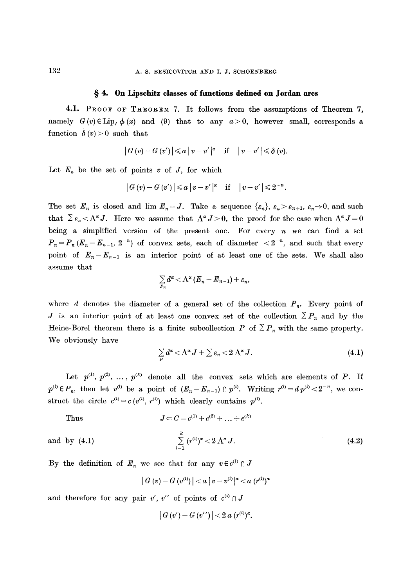## **w 4. On Lipschitz classes of functions defined on Jordan arcs**

4.1. PROOF OF THEOREM 7. It follows from the assumptions of Theorem 7, namely  $G(v) \in \text{Lip}_{J} \phi(x)$  and (9) that to any  $a > 0$ , however small, corresponds a function  $\delta(v) > 0$  such that

$$
|G(v)-G(v')|\leq a |v-v'|^{\alpha} \quad \text{if} \quad |v-v'|\leq \delta(v).
$$

Let  $E_n$  be the set of points v of J, for which

$$
|G(v)-G(v')|\leq a |v-v'|^{\alpha} \quad \text{if} \quad |v-v'|\leq 2^{-n}.
$$

The set  $E_n$  is closed and lim  $E_n = J$ . Take a sequence  $\{ \varepsilon_n \}$ ,  $\varepsilon_n > \varepsilon_{n+1}$ ,  $\varepsilon_n \to 0$ , and such that  $\sum \varepsilon_n < \Lambda^{\alpha} J$ . Here we assume that  $\Lambda^{\alpha} J > 0$ , the proof for the case when  $\Lambda^{\alpha} J = 0$ being a simplified version of the present one. For every  $n$  we can find a set  $P_n = P_n (E_n - E_{n-1}, 2^{-n})$  of convex sets, each of diameter  $\langle 2^{-n} \rangle$ , and such that every point of  $E_n-E_{n-1}$  is an interior point of at least one of the sets. We shall also assume that

$$
\sum_{P_n}d^{\alpha} < \Lambda^{\alpha}(E_n - E_{n-1}) + \varepsilon_n,
$$

where d denotes the diameter of a general set of the collection  $P_n$ . Every point of J is an interior point of at least one convex set of the collection  $\sum P_n$  and by the Heine-Borel theorem there is a finite subcollection P of  $\sum P_n$  with the same property. We obviously have

$$
\sum_{P} d^{\alpha} < \Lambda^{\alpha} J + \sum \varepsilon_n < 2 \Lambda^{\alpha} J. \tag{4.1}
$$

Let  $p^{(1)}, p^{(2)}, \ldots, p^{(k)}$  denote all the convex sets which are elements of P. If  $p^{(i)} \in P_n$ , then let  $v^{(i)}$  be a point of  $(E_n - E_{n-1}) \cap p^{(i)}$ . Writing  $r^{(i)} = d p^{(i)} < 2^{-n}$ , we construct the circle  $c^{(i)} = c (v^{(i)}, r^{(i)})$  which clearly contains  $p^{(i)}$ .

Thus  
\n
$$
J \subset C = c^{(1)} + c^{(2)} + \dots + e^{(k)}
$$
\nand by (4.1)  
\n
$$
\sum_{i=1}^{k} (r^{(i)})^{\alpha} < 2 \Lambda^{\alpha} J.
$$
\n(4.2)

By the definition of  $E_n$  we see that for any  $v \in c^{(i)} \cap J$ 

$$
\left|\,G\left(v\right)-G\left(v^{(i)}\right)\,\right|
$$

and therefore for any pair v', v'' of points of  $c^{(i)} \cap J$ 

$$
|G(v') - G(v'')| < 2\,a\,(r^{(i)})^{\alpha}.
$$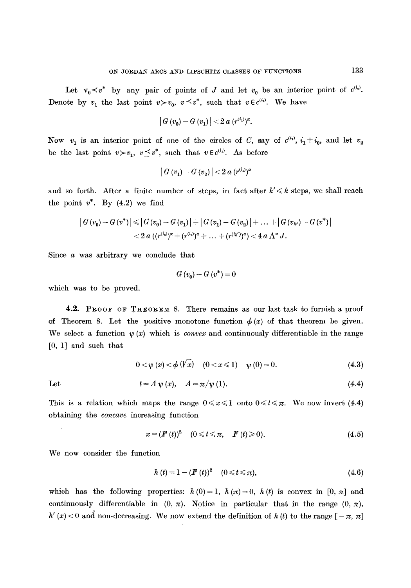Let  $v_0 \lt v^*$  by any pair of points of J and let  $v_0$  be an interior point of  $c^{(i_0)}$ . Denote by  $v_1$  the last point  $v>v_0$ ,  $v\leq v^*$ , such that  $v\in c^{(i_0)}$ . We have

$$
|G(v_0) - G(v_1)| < 2 a (r^{(i_1)})^{\alpha}.
$$

Now  $v_1$  is an interior point of one of the circles of C, say of  $c^{(i_1)}$ ,  $i_1 \pm i_0$ , and let  $v_2$ be the last point  $v > v_1$ ,  $v \leq v^*$ , such that  $v \in c^{(i_1)}$ . As before

$$
|G(v_1) - G(v_2)| < 2 a (r^{(i_1)})^{\alpha}
$$

and so forth. After a finite number of steps, in fact after  $k' \leq k$  steps, we shall reach the point  $v^*$ . By  $(4.2)$  we find

$$
\left| G(v_0) - G(v^*) \right| \leq \left| G(v_0) - G(v_1) \right| + \left| G(v_1) - G(v_2) \right| + \ldots + \left| G(v_{k'}) - G(v^*) \right|
$$
  
< 2 a  $((r^{(i_0)})^{\alpha} + (r^{(i_1)})^{\alpha} + \ldots + (r^{(i_k')})^{\alpha}) < 4 a \Lambda^{\alpha} J.$ 

Since a was arbitrary we conclude that

$$
G(v_0) - G(v^*) = 0
$$

which was to be proved.

4.2. PROOF OF THEOREM 8. There remains as our last task to furnish a proof of Theorem 8. Let the positive monotone function  $\phi(x)$  of that theorem be given. We select a function  $\psi(x)$  which is *convex* and continuously differentiable in the range [0, 1] and such that

$$
0 < \psi(x) < \phi(\sqrt{x}) \quad (0 < x \leq 1) \quad \psi(0) = 0. \tag{4.3}
$$

Let 
$$
t = A \psi(x), \quad A = \pi/\psi(1).
$$
 (4.4)

This is a relation which maps the range  $0 \leq x \leq 1$  onto  $0 \leq t \leq \pi$ . We now invert (4.4) obtaining the *concave* increasing function

$$
x = (F(t))^2 \quad (0 \leq t \leq \pi, \quad F(t) \geq 0). \tag{4.5}
$$

We now consider the function

$$
h(t) = 1 - (F(t))^{2} \quad (0 \leq t \leq \pi), \tag{4.6}
$$

which has the following properties:  $h(0)=1$ ,  $h(\pi)=0$ ,  $h(t)$  is convex in [0,  $\pi$ ] and continuously differentiable in  $(0, \pi)$ . Notice in particular that in the range  $(0, \pi)$ ,  $h'(x) < 0$  and non-decreasing. We now extend the definition of  $h(t)$  to the range  $[-\pi, \pi]$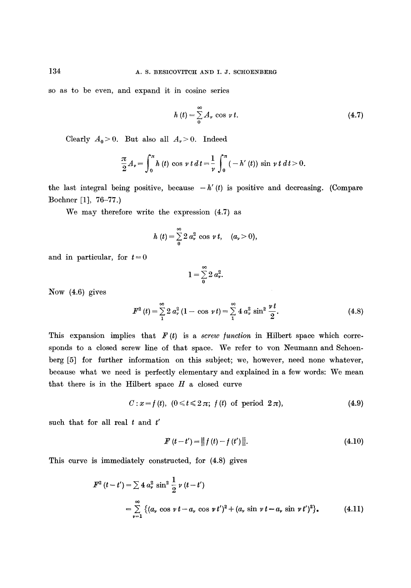so as to be even, and expand it in cosine series

$$
h(t) = \sum_{0}^{\infty} A_{\nu} \cos \nu t.
$$
 (4.7)

Clearly  $A_0 > 0$ . But also all  $A_v > 0$ . Indeed

$$
\frac{\pi}{2}A_{\nu} = \int_0^{\pi} h(t) \cos \nu t \, dt = \frac{1}{\nu} \int_0^{\pi} (-h'(t)) \sin \nu t \, dt > 0.
$$

the last integral being positive, because  $-h'(t)$  is positive and decreasing. (Compare Bochner [1], 76-77.)

We may therefore write the expression (4.7) as

$$
h(t) = \sum_{0}^{\infty} 2 a_{\nu}^{2} \cos \nu t, \quad (a_{\nu} > 0),
$$

and in particular, for  $t=0$ 

$$
1=\sum_{0}^{\infty}2\,a_{\mathbf{v}}^{2}
$$

Now (4.6) gives

$$
F^{2}(t) = \sum_{1}^{\infty} 2 a_{\nu}^{2} (1 - \cos \nu t) = \sum_{1}^{\infty} 4 a_{\nu}^{2} \sin^{2} \frac{\nu t}{2}.
$$
 (4.8)

This expansion implies that  $F(t)$  is a *screw function* in Hilbert space which corresponds to a closed screw line of that space. We refer to yon Neumann and Schoenberg [5] for further information on this subject; we, however, need none whatever, because what we need is perfectly elementary and explained in a few words: We mean that there is in the Hilbert space  $H$  a closed curve

$$
C: x = f(t), \ (0 \leq t \leq 2\pi; \ f(t) \text{ of period } 2\pi), \tag{4.9}
$$

such that for all real  $t$  and  $t'$ 

$$
F(t-t') = ||f(t) - f(t')||. \tag{4.10}
$$

This curve is immediately constructed, for (4.8) gives

$$
F^{2} (t-t') = \sum 4 a_{\nu}^{2} \sin^{2} \frac{1}{2} \nu (t-t')
$$
  
= 
$$
\sum_{\nu=1}^{\infty} \left\{ (a_{\nu} \cos \nu t - a_{\nu} \cos \nu t')^{2} + (a_{\nu} \sin \nu t - a_{\nu} \sin \nu t')^{2} \right\},
$$
 (4.11)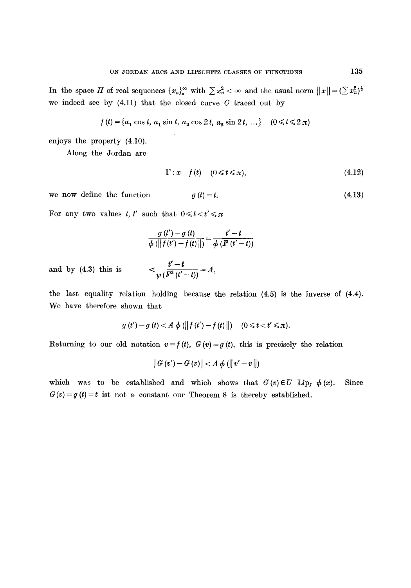In the space H of real sequences  ${x_n}_s^{\infty}$  with  $\sum x_n^2 < \infty$  and the usual norm  $||x|| = (\sum x_n^2)^{\frac{1}{2}}$ we indeed see by  $(4.11)$  that the closed curve  $C$  traced out by

$$
f(t) = \{a_1 \cos t, a_1 \sin t, a_2 \cos 2t, a_2 \sin 2t, \ldots\} \quad (0 \le t \le 2\pi)
$$

enjoys the property (4.10).

Along the Jordan arc

$$
\Gamma: x = f(t) \quad (0 \leq t \leq \pi), \tag{4.12}
$$

we now define the function  $g(t) = t.$  (4.13)

For any two values *t*, *t'* such that  $0 \leq t < t' \leq \pi$ 

$$
\frac{g(t')-g(t)}{\phi\left(\left\|f(t')-f(t)\right\|\right)}=\frac{t'-t}{\phi\left(F\left(t'-t\right)\right)}
$$

and by  $(4.3)$  this is

$$
\leq \frac{t'-t}{\psi(F^2(t'-t))} = A,
$$

the last equality relation holding because the relation (4.5) is the inverse of (4.4). We have therefore shown that

$$
g(t') - g(t) < A \phi(||f(t') - f(t)||)
$$
  $(0 \le t < t' \le \pi).$ 

Returning to our old notation  $v = f(t)$ ,  $G(v) = g(t)$ , this is precisely the relation

$$
|G(v') - G(v)| < A \phi (||v' - v||)
$$

which was to be established and which shows that  $G(v) \in U$  Lip<sub>l</sub>  $\phi(x)$ .  $G(v) = g(t) = t$  ist not a constant our Theorem 8 is thereby established. Since